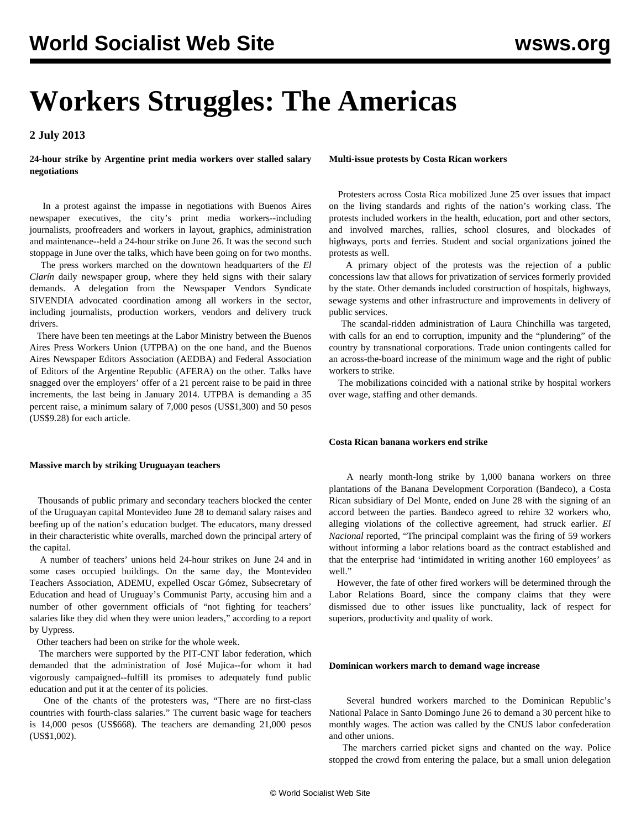# **Workers Struggles: The Americas**

**2 July 2013**

**24-hour strike by Argentine print media workers over stalled salary negotiations**

 In a protest against the impasse in negotiations with Buenos Aires newspaper executives, the city's print media workers--including journalists, proofreaders and workers in layout, graphics, administration and maintenance--held a 24-hour strike on June 26. It was the second such stoppage in June over the talks, which have been going on for two months.

 The press workers marched on the downtown headquarters of the *El Clarín* daily newspaper group, where they held signs with their salary demands. A delegation from the Newspaper Vendors Syndicate SIVENDIA advocated coordination among all workers in the sector, including journalists, production workers, vendors and delivery truck drivers.

 There have been ten meetings at the Labor Ministry between the Buenos Aires Press Workers Union (UTPBA) on the one hand, and the Buenos Aires Newspaper Editors Association (AEDBA) and Federal Association of Editors of the Argentine Republic (AFERA) on the other. Talks have snagged over the employers' offer of a 21 percent raise to be paid in three increments, the last being in January 2014. UTPBA is demanding a 35 percent raise, a minimum salary of 7,000 pesos (US\$1,300) and 50 pesos (US\$9.28) for each article.

## **Massive march by striking Uruguayan teachers**

 Thousands of public primary and secondary teachers blocked the center of the Uruguayan capital Montevideo June 28 to demand salary raises and beefing up of the nation's education budget. The educators, many dressed in their characteristic white overalls, marched down the principal artery of the capital.

 A number of teachers' unions held 24-hour strikes on June 24 and in some cases occupied buildings. On the same day, the Montevideo Teachers Association, ADEMU, expelled Oscar Gómez, Subsecretary of Education and head of Uruguay's Communist Party, accusing him and a number of other government officials of "not fighting for teachers' salaries like they did when they were union leaders," according to a report by Uypress.

Other teachers had been on strike for the whole week.

 The marchers were supported by the PIT-CNT labor federation, which demanded that the administration of José Mujica--for whom it had vigorously campaigned--fulfill its promises to adequately fund public education and put it at the center of its policies.

 One of the chants of the protesters was, "There are no first-class countries with fourth-class salaries." The current basic wage for teachers is 14,000 pesos (US\$668). The teachers are demanding 21,000 pesos (US\$1,002).

**Multi-issue protests by Costa Rican workers**

 Protesters across Costa Rica mobilized June 25 over issues that impact on the living standards and rights of the nation's working class. The protests included workers in the health, education, port and other sectors, and involved marches, rallies, school closures, and blockades of highways, ports and ferries. Student and social organizations joined the protests as well.

 A primary object of the protests was the rejection of a public concessions law that allows for privatization of services formerly provided by the state. Other demands included construction of hospitals, highways, sewage systems and other infrastructure and improvements in delivery of public services.

 The scandal-ridden administration of Laura Chinchilla was targeted, with calls for an end to corruption, impunity and the "plundering" of the country by transnational corporations. Trade union contingents called for an across-the-board increase of the minimum wage and the right of public workers to strike.

 The mobilizations coincided with a national strike by hospital workers over wage, staffing and other demands.

# **Costa Rican banana workers end strike**

 A nearly month-long strike by 1,000 banana workers on three plantations of the Banana Development Corporation (Bandeco), a Costa Rican subsidiary of Del Monte, ended on June 28 with the signing of an accord between the parties. Bandeco agreed to rehire 32 workers who, alleging violations of the collective agreement, had struck earlier. *El Nacional* reported, "The principal complaint was the firing of 59 workers without informing a labor relations board as the contract established and that the enterprise had 'intimidated in writing another 160 employees' as well."

 However, the fate of other fired workers will be determined through the Labor Relations Board, since the company claims that they were dismissed due to other issues like punctuality, lack of respect for superiors, productivity and quality of work.

# **Dominican workers march to demand wage increase**

 Several hundred workers marched to the Dominican Republic's National Palace in Santo Domingo June 26 to demand a 30 percent hike to monthly wages. The action was called by the CNUS labor confederation and other unions.

 The marchers carried picket signs and chanted on the way. Police stopped the crowd from entering the palace, but a small union delegation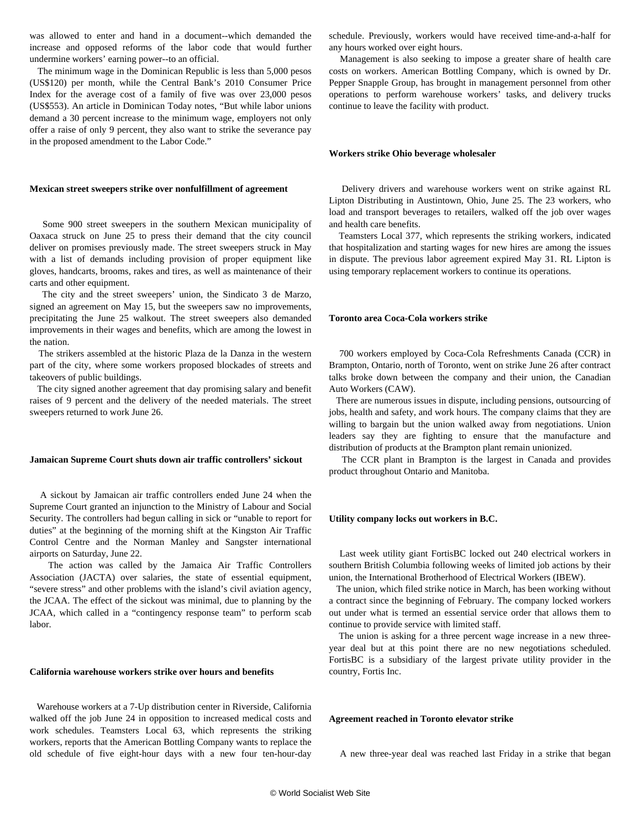was allowed to enter and hand in a document--which demanded the increase and opposed reforms of the labor code that would further undermine workers' earning power--to an official.

 The minimum wage in the Dominican Republic is less than 5,000 pesos (US\$120) per month, while the Central Bank's 2010 Consumer Price Index for the average cost of a family of five was over 23,000 pesos (US\$553). An article in Dominican Today notes, "But while labor unions demand a 30 percent increase to the minimum wage, employers not only offer a raise of only 9 percent, they also want to strike the severance pay in the proposed amendment to the Labor Code."

### **Mexican street sweepers strike over nonfulfillment of agreement**

 Some 900 street sweepers in the southern Mexican municipality of Oaxaca struck on June 25 to press their demand that the city council deliver on promises previously made. The street sweepers struck in May with a list of demands including provision of proper equipment like gloves, handcarts, brooms, rakes and tires, as well as maintenance of their carts and other equipment.

 The city and the street sweepers' union, the Sindicato 3 de Marzo, signed an agreement on May 15, but the sweepers saw no improvements, precipitating the June 25 walkout. The street sweepers also demanded improvements in their wages and benefits, which are among the lowest in the nation.

 The strikers assembled at the historic Plaza de la Danza in the western part of the city, where some workers proposed blockades of streets and takeovers of public buildings.

 The city signed another agreement that day promising salary and benefit raises of 9 percent and the delivery of the needed materials. The street sweepers returned to work June 26.

#### **Jamaican Supreme Court shuts down air traffic controllers' sickout**

 A sickout by Jamaican air traffic controllers ended June 24 when the Supreme Court granted an injunction to the Ministry of Labour and Social Security. The controllers had begun calling in sick or "unable to report for duties" at the beginning of the morning shift at the Kingston Air Traffic Control Centre and the Norman Manley and Sangster international airports on Saturday, June 22.

 The action was called by the Jamaica Air Traffic Controllers Association (JACTA) over salaries, the state of essential equipment, "severe stress" and other problems with the island's civil aviation agency, the JCAA. The effect of the sickout was minimal, due to planning by the JCAA, which called in a "contingency response team" to perform scab labor.

# **California warehouse workers strike over hours and benefits**

 Warehouse workers at a 7-Up distribution center in Riverside, California walked off the job June 24 in opposition to increased medical costs and work schedules. Teamsters Local 63, which represents the striking workers, reports that the American Bottling Company wants to replace the old schedule of five eight-hour days with a new four ten-hour-day schedule. Previously, workers would have received time-and-a-half for any hours worked over eight hours.

 Management is also seeking to impose a greater share of health care costs on workers. American Bottling Company, which is owned by Dr. Pepper Snapple Group, has brought in management personnel from other operations to perform warehouse workers' tasks, and delivery trucks continue to leave the facility with product.

#### **Workers strike Ohio beverage wholesaler**

 Delivery drivers and warehouse workers went on strike against RL Lipton Distributing in Austintown, Ohio, June 25. The 23 workers, who load and transport beverages to retailers, walked off the job over wages and health care benefits.

 Teamsters Local 377, which represents the striking workers, indicated that hospitalization and starting wages for new hires are among the issues in dispute. The previous labor agreement expired May 31. RL Lipton is using temporary replacement workers to continue its operations.

# **Toronto area Coca-Cola workers strike**

 700 workers employed by Coca-Cola Refreshments Canada (CCR) in Brampton, Ontario, north of Toronto, went on strike June 26 after contract talks broke down between the company and their union, the Canadian Auto Workers (CAW).

 There are numerous issues in dispute, including pensions, outsourcing of jobs, health and safety, and work hours. The company claims that they are willing to bargain but the union walked away from negotiations. Union leaders say they are fighting to ensure that the manufacture and distribution of products at the Brampton plant remain unionized.

 The CCR plant in Brampton is the largest in Canada and provides product throughout Ontario and Manitoba.

#### **Utility company locks out workers in B.C.**

 Last week utility giant FortisBC locked out 240 electrical workers in southern British Columbia following weeks of limited job actions by their union, the International Brotherhood of Electrical Workers (IBEW).

 The union, which filed strike notice in March, has been working without a contract since the beginning of February. The company locked workers out under what is termed an essential service order that allows them to continue to provide service with limited staff.

 The union is asking for a three percent wage increase in a new threeyear deal but at this point there are no new negotiations scheduled. FortisBC is a subsidiary of the largest private utility provider in the country, Fortis Inc.

#### **Agreement reached in Toronto elevator strike**

A new three-year deal was reached last Friday in a strike that began